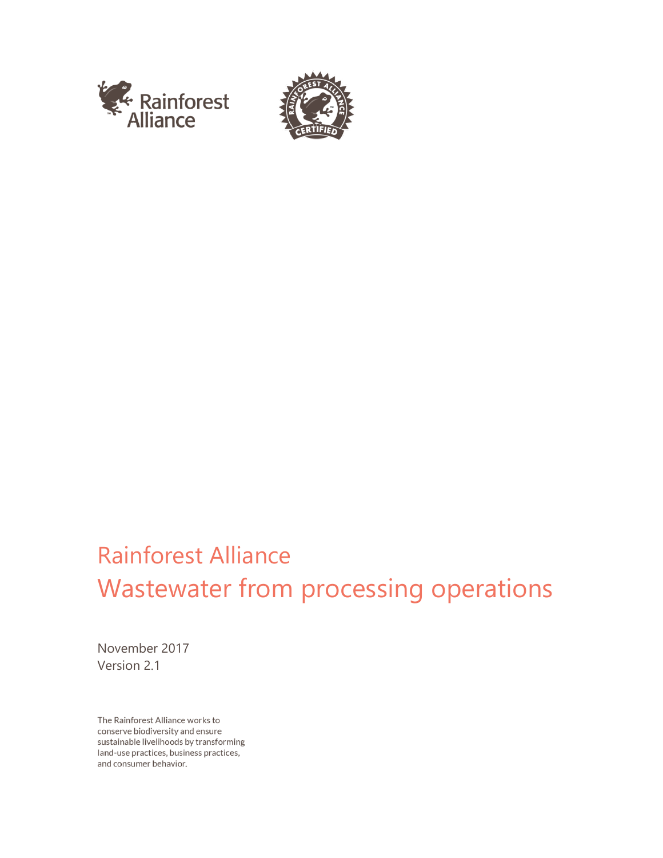



# Rainforest Alliance Wastewater from processing operations

November 2017 Version 2.1

The Rainforest Alliance works to conserve biodiversity and ensure sustainable livelihoods by transforming land-use practices, business practices, and consumer behavior.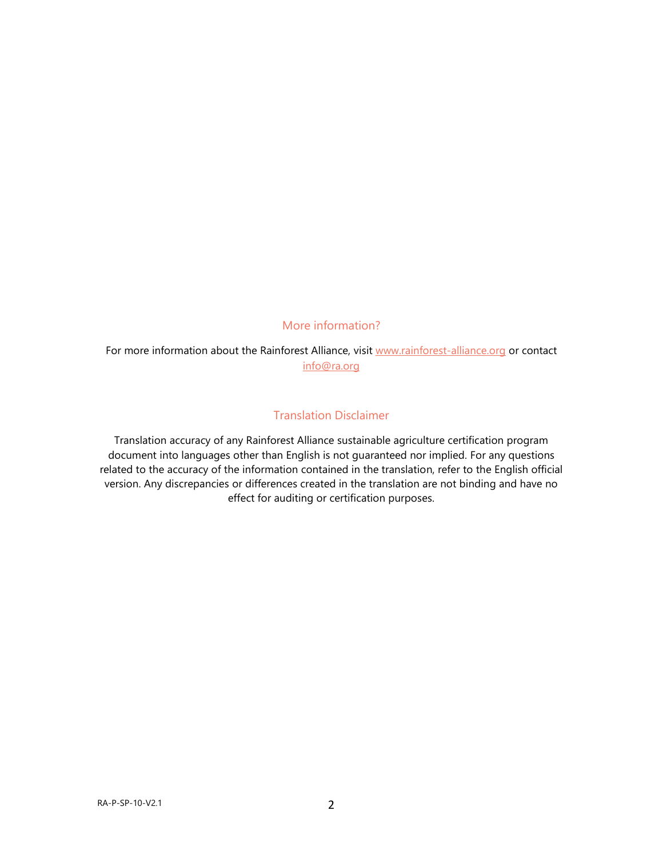### More information?

For more information about the Rainforest Alliance, visit [www.rainforest-alliance.org](http://www.rainforest-alliance.org/) or contact [info@ra.org](mailto:info@ra.org)

#### Translation Disclaimer

Translation accuracy of any Rainforest Alliance sustainable agriculture certification program document into languages other than English is not guaranteed nor implied. For any questions related to the accuracy of the information contained in the translation, refer to the English official version. Any discrepancies or differences created in the translation are not binding and have no effect for auditing or certification purposes.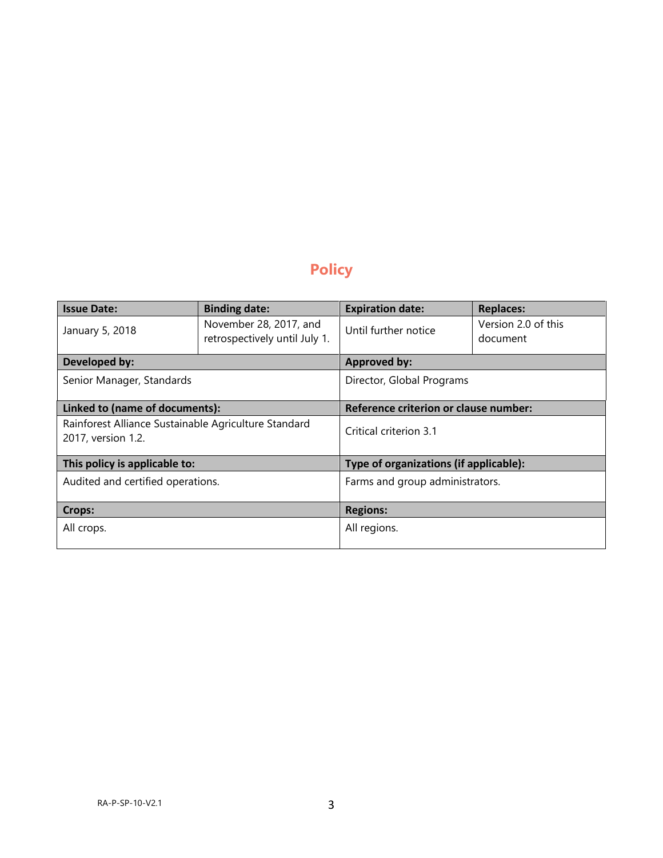## **Policy**

| <b>Issue Date:</b>                                   | <b>Binding date:</b>          | <b>Expiration date:</b>                | <b>Replaces:</b>    |
|------------------------------------------------------|-------------------------------|----------------------------------------|---------------------|
| January 5, 2018                                      | November 28, 2017, and        | Until further notice                   | Version 2.0 of this |
|                                                      | retrospectively until July 1. |                                        | document            |
| Developed by:                                        |                               | <b>Approved by:</b>                    |                     |
| Senior Manager, Standards                            |                               | Director, Global Programs              |                     |
|                                                      |                               |                                        |                     |
| Linked to (name of documents):                       |                               | Reference criterion or clause number:  |                     |
| Rainforest Alliance Sustainable Agriculture Standard |                               | Critical criterion 3.1                 |                     |
| 2017, version 1.2.                                   |                               |                                        |                     |
| This policy is applicable to:                        |                               | Type of organizations (if applicable): |                     |
| Audited and certified operations.                    |                               | Farms and group administrators.        |                     |
|                                                      |                               |                                        |                     |
| <b>Crops:</b>                                        |                               | <b>Regions:</b>                        |                     |
| All crops.                                           |                               | All regions.                           |                     |
|                                                      |                               |                                        |                     |